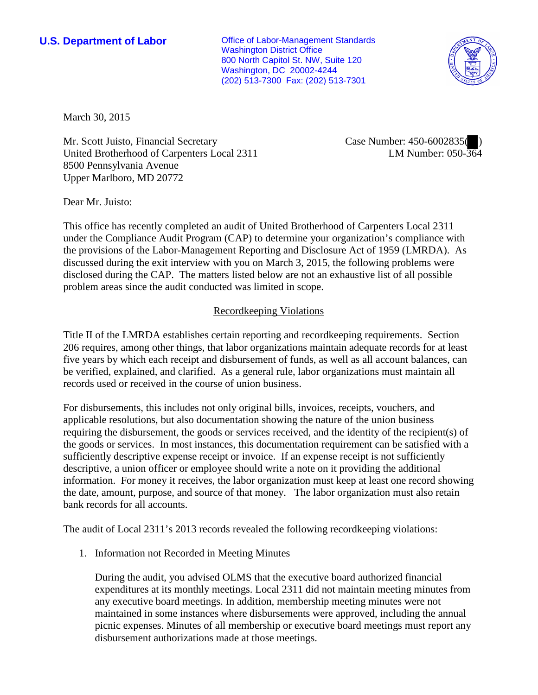**U.S. Department of Labor Conservative Conservative Conservative Conservative Conservative Conservative Conservative Conservative Conservative Conservative Conservative Conservative Conservative Conservative Conservative** Washington District Office 800 North Capitol St. NW, Suite 120 Washington, DC 20002-4244 (202) 513-7300 Fax: (202) 513-7301



March 30, 2015

Mr. Scott Juisto, Financial Secretary United Brotherhood of Carpenters Local 2311 8500 Pennsylvania Avenue Upper Marlboro, MD 20772

Case Number: 450-6002835( ) LM Number: 050-364

Dear Mr. Juisto:

This office has recently completed an audit of United Brotherhood of Carpenters Local 2311 under the Compliance Audit Program (CAP) to determine your organization's compliance with the provisions of the Labor-Management Reporting and Disclosure Act of 1959 (LMRDA). As discussed during the exit interview with you on March 3, 2015, the following problems were disclosed during the CAP. The matters listed below are not an exhaustive list of all possible problem areas since the audit conducted was limited in scope.

## Recordkeeping Violations

Title II of the LMRDA establishes certain reporting and recordkeeping requirements. Section 206 requires, among other things, that labor organizations maintain adequate records for at least five years by which each receipt and disbursement of funds, as well as all account balances, can be verified, explained, and clarified. As a general rule, labor organizations must maintain all records used or received in the course of union business.

For disbursements, this includes not only original bills, invoices, receipts, vouchers, and applicable resolutions, but also documentation showing the nature of the union business requiring the disbursement, the goods or services received, and the identity of the recipient(s) of the goods or services. In most instances, this documentation requirement can be satisfied with a sufficiently descriptive expense receipt or invoice. If an expense receipt is not sufficiently descriptive, a union officer or employee should write a note on it providing the additional information. For money it receives, the labor organization must keep at least one record showing the date, amount, purpose, and source of that money. The labor organization must also retain bank records for all accounts.

The audit of Local 2311's 2013 records revealed the following recordkeeping violations:

1. Information not Recorded in Meeting Minutes

During the audit, you advised OLMS that the executive board authorized financial expenditures at its monthly meetings. Local 2311 did not maintain meeting minutes from any executive board meetings. In addition, membership meeting minutes were not maintained in some instances where disbursements were approved, including the annual picnic expenses. Minutes of all membership or executive board meetings must report any disbursement authorizations made at those meetings.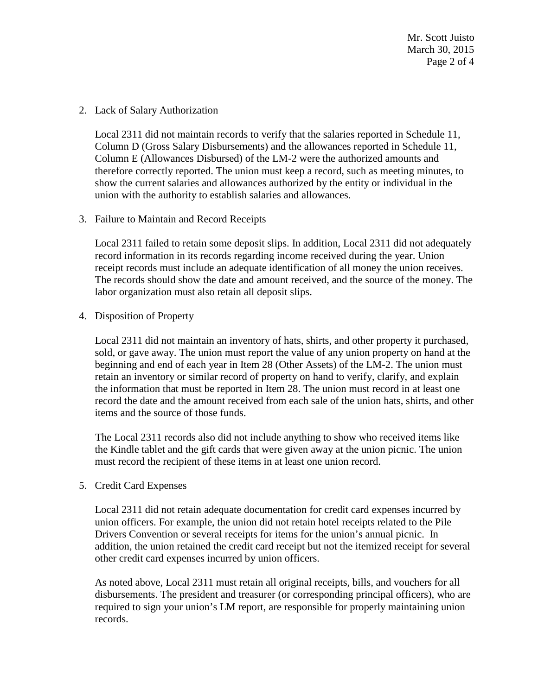Mr. Scott Juisto March 30, 2015 Page 2 of 4

2. Lack of Salary Authorization

Local 2311 did not maintain records to verify that the salaries reported in Schedule 11, Column D (Gross Salary Disbursements) and the allowances reported in Schedule 11, Column E (Allowances Disbursed) of the LM-2 were the authorized amounts and therefore correctly reported. The union must keep a record, such as meeting minutes, to show the current salaries and allowances authorized by the entity or individual in the union with the authority to establish salaries and allowances.

3. Failure to Maintain and Record Receipts

Local 2311 failed to retain some deposit slips. In addition, Local 2311 did not adequately record information in its records regarding income received during the year. Union receipt records must include an adequate identification of all money the union receives. The records should show the date and amount received, and the source of the money. The labor organization must also retain all deposit slips.

4. Disposition of Property

Local 2311 did not maintain an inventory of hats, shirts, and other property it purchased, sold, or gave away. The union must report the value of any union property on hand at the beginning and end of each year in Item 28 (Other Assets) of the LM-2. The union must retain an inventory or similar record of property on hand to verify, clarify, and explain the information that must be reported in Item 28. The union must record in at least one record the date and the amount received from each sale of the union hats, shirts, and other items and the source of those funds.

The Local 2311 records also did not include anything to show who received items like the Kindle tablet and the gift cards that were given away at the union picnic. The union must record the recipient of these items in at least one union record.

5. Credit Card Expenses

Local 2311 did not retain adequate documentation for credit card expenses incurred by union officers. For example, the union did not retain hotel receipts related to the Pile Drivers Convention or several receipts for items for the union's annual picnic. In addition, the union retained the credit card receipt but not the itemized receipt for several other credit card expenses incurred by union officers.

As noted above, Local 2311 must retain all original receipts, bills, and vouchers for all disbursements. The president and treasurer (or corresponding principal officers), who are required to sign your union's LM report, are responsible for properly maintaining union records.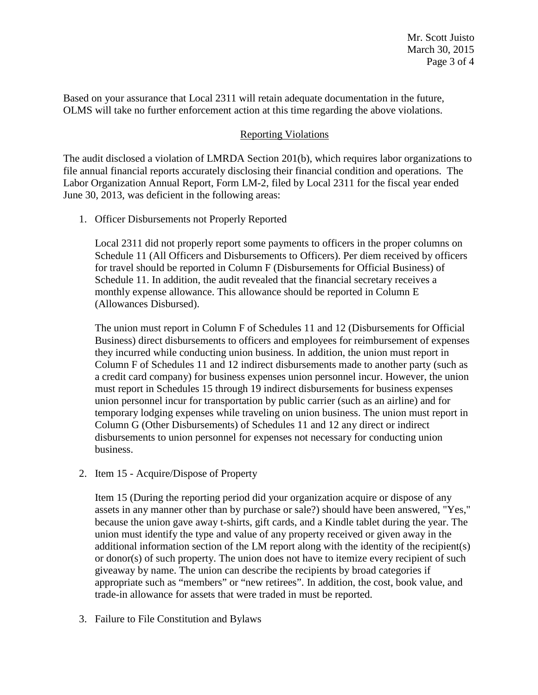Based on your assurance that Local 2311 will retain adequate documentation in the future, OLMS will take no further enforcement action at this time regarding the above violations.

## Reporting Violations

The audit disclosed a violation of LMRDA Section 201(b), which requires labor organizations to file annual financial reports accurately disclosing their financial condition and operations. The Labor Organization Annual Report, Form LM-2, filed by Local 2311 for the fiscal year ended June 30, 2013, was deficient in the following areas:

1. Officer Disbursements not Properly Reported

Local 2311 did not properly report some payments to officers in the proper columns on Schedule 11 (All Officers and Disbursements to Officers). Per diem received by officers for travel should be reported in Column F (Disbursements for Official Business) of Schedule 11. In addition, the audit revealed that the financial secretary receives a monthly expense allowance. This allowance should be reported in Column E (Allowances Disbursed).

The union must report in Column F of Schedules 11 and 12 (Disbursements for Official Business) direct disbursements to officers and employees for reimbursement of expenses they incurred while conducting union business. In addition, the union must report in Column F of Schedules 11 and 12 indirect disbursements made to another party (such as a credit card company) for business expenses union personnel incur. However, the union must report in Schedules 15 through 19 indirect disbursements for business expenses union personnel incur for transportation by public carrier (such as an airline) and for temporary lodging expenses while traveling on union business. The union must report in Column G (Other Disbursements) of Schedules 11 and 12 any direct or indirect disbursements to union personnel for expenses not necessary for conducting union business.

2. Item 15 - Acquire/Dispose of Property

Item 15 (During the reporting period did your organization acquire or dispose of any assets in any manner other than by purchase or sale?) should have been answered, "Yes," because the union gave away t-shirts, gift cards, and a Kindle tablet during the year. The union must identify the type and value of any property received or given away in the additional information section of the LM report along with the identity of the recipient(s) or donor(s) of such property. The union does not have to itemize every recipient of such giveaway by name. The union can describe the recipients by broad categories if appropriate such as "members" or "new retirees". In addition, the cost, book value, and trade-in allowance for assets that were traded in must be reported.

3. Failure to File Constitution and Bylaws